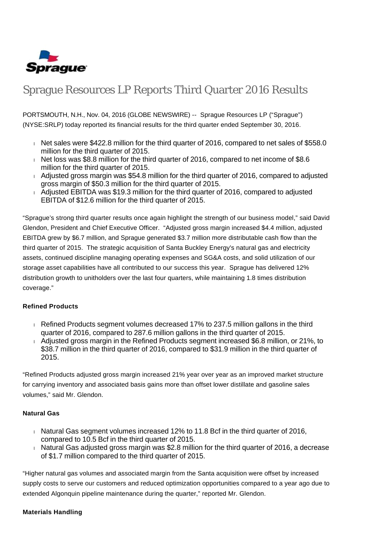

# Sprague Resources LP Reports Third Quarter 2016 Results

PORTSMOUTH, N.H., Nov. 04, 2016 (GLOBE NEWSWIRE) -- Sprague Resources LP ("Sprague") (NYSE:SRLP) today reported its financial results for the third quarter ended September 30, 2016.

- Net sales were \$422.8 million for the third quarter of 2016, compared to net sales of \$558.0 million for the third quarter of 2015.
- Net loss was \$8.8 million for the third quarter of 2016, compared to net income of \$8.6 million for the third quarter of 2015.
- Adjusted gross margin was \$54.8 million for the third quarter of 2016, compared to adjusted gross margin of \$50.3 million for the third quarter of 2015.
- Adjusted EBITDA was \$19.3 million for the third quarter of 2016, compared to adjusted EBITDA of \$12.6 million for the third quarter of 2015.

"Sprague's strong third quarter results once again highlight the strength of our business model," said David Glendon, President and Chief Executive Officer. "Adjusted gross margin increased \$4.4 million, adjusted EBITDA grew by \$6.7 million, and Sprague generated \$3.7 million more distributable cash flow than the third quarter of 2015. The strategic acquisition of Santa Buckley Energy's natural gas and electricity assets, continued discipline managing operating expenses and SG&A costs, and solid utilization of our storage asset capabilities have all contributed to our success this year. Sprague has delivered 12% distribution growth to unitholders over the last four quarters, while maintaining 1.8 times distribution coverage."

#### **Refined Products**

- $\overline{R}$  Refined Products segment volumes decreased 17% to 237.5 million gallons in the third quarter of 2016, compared to 287.6 million gallons in the third quarter of 2015.
- Adjusted gross margin in the Refined Products segment increased \$6.8 million, or 21%, to \$38.7 million in the third quarter of 2016, compared to \$31.9 million in the third quarter of 2015.

"Refined Products adjusted gross margin increased 21% year over year as an improved market structure for carrying inventory and associated basis gains more than offset lower distillate and gasoline sales volumes," said Mr. Glendon.

#### **Natural Gas**

- $\overline{a}$  Natural Gas segment volumes increased 12% to 11.8 Bcf in the third quarter of 2016, compared to 10.5 Bcf in the third quarter of 2015.
- $\overline{h}$  Natural Gas adjusted gross margin was \$2.8 million for the third quarter of 2016, a decrease of \$1.7 million compared to the third quarter of 2015.

"Higher natural gas volumes and associated margin from the Santa acquisition were offset by increased supply costs to serve our customers and reduced optimization opportunities compared to a year ago due to extended Algonquin pipeline maintenance during the quarter," reported Mr. Glendon.

#### **Materials Handling**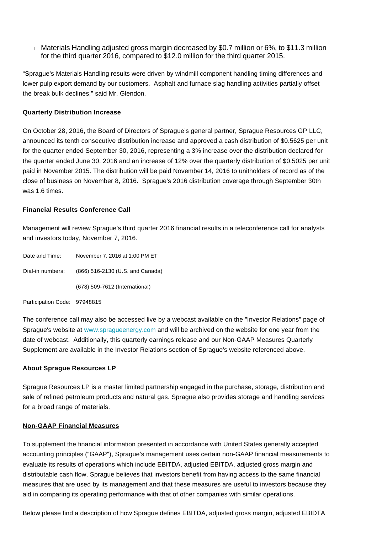$\pm$  Materials Handling adjusted gross margin decreased by \$0.7 million or 6%, to \$11.3 million for the third quarter 2016, compared to \$12.0 million for the third quarter 2015.

"Sprague's Materials Handling results were driven by windmill component handling timing differences and lower pulp export demand by our customers. Asphalt and furnace slag handling activities partially offset the break bulk declines," said Mr. Glendon.

#### **Quarterly Distribution Increase**

On October 28, 2016, the Board of Directors of Sprague's general partner, Sprague Resources GP LLC, announced its tenth consecutive distribution increase and approved a cash distribution of \$0.5625 per unit for the quarter ended September 30, 2016, representing a 3% increase over the distribution declared for the quarter ended June 30, 2016 and an increase of 12% over the quarterly distribution of \$0.5025 per unit paid in November 2015. The distribution will be paid November 14, 2016 to unitholders of record as of the close of business on November 8, 2016. Sprague's 2016 distribution coverage through September 30th was 1.6 times.

#### **Financial Results Conference Call**

Management will review Sprague's third quarter 2016 financial results in a teleconference call for analysts and investors today, November 7, 2016.

| Date and Time:               | November 7, 2016 at 1:00 PM ET   |
|------------------------------|----------------------------------|
| Dial-in numbers:             | (866) 516-2130 (U.S. and Canada) |
|                              | (678) 509-7612 (International)   |
| Participation Code: 97948815 |                                  |

The conference call may also be accessed live by a webcast available on the "Investor Relations" page of Sprague's website at [www.spragueenergy.com](http://www.spragueenergy.com/) and will be archived on the website for one year from the date of webcast. Additionally, this quarterly earnings release and our Non-GAAP Measures Quarterly Supplement are available in the Investor Relations section of Sprague's website referenced above.

#### **About Sprague Resources LP**

Sprague Resources LP is a master limited partnership engaged in the purchase, storage, distribution and sale of refined petroleum products and natural gas. Sprague also provides storage and handling services for a broad range of materials.

#### **Non-GAAP Financial Measures**

To supplement the financial information presented in accordance with United States generally accepted accounting principles ("GAAP"), Sprague's management uses certain non-GAAP financial measurements to evaluate its results of operations which include EBITDA, adjusted EBITDA, adjusted gross margin and distributable cash flow. Sprague believes that investors benefit from having access to the same financial measures that are used by its management and that these measures are useful to investors because they aid in comparing its operating performance with that of other companies with similar operations.

Below please find a description of how Sprague defines EBITDA, adjusted gross margin, adjusted EBIDTA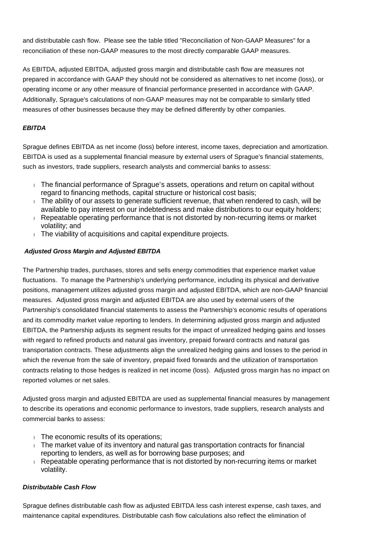and distributable cash flow. Please see the table titled "Reconciliation of Non-GAAP Measures" for a reconciliation of these non-GAAP measures to the most directly comparable GAAP measures.

As EBITDA, adjusted EBITDA, adjusted gross margin and distributable cash flow are measures not prepared in accordance with GAAP they should not be considered as alternatives to net income (loss), or operating income or any other measure of financial performance presented in accordance with GAAP. Additionally, Sprague's calculations of non-GAAP measures may not be comparable to similarly titled measures of other businesses because they may be defined differently by other companies.

### **EBITDA**

Sprague defines EBITDA as net income (loss) before interest, income taxes, depreciation and amortization. EBITDA is used as a supplemental financial measure by external users of Sprague's financial statements, such as investors, trade suppliers, research analysts and commercial banks to assess:

- The financial performance of Sprague's assets, operations and return on capital without regard to financing methods, capital structure or historical cost basis;
- $\blacksquare$  The ability of our assets to generate sufficient revenue, that when rendered to cash, will be available to pay interest on our indebtedness and make distributions to our equity holders;
- Repeatable operating performance that is not distorted by non-recurring items or market volatility; and
- The viability of acquisitions and capital expenditure projects.

## **Adjusted Gross Margin and Adjusted EBITDA**

The Partnership trades, purchases, stores and sells energy commodities that experience market value fluctuations. To manage the Partnership's underlying performance, including its physical and derivative positions, management utilizes adjusted gross margin and adjusted EBITDA, which are non-GAAP financial measures. Adjusted gross margin and adjusted EBITDA are also used by external users of the Partnership's consolidated financial statements to assess the Partnership's economic results of operations and its commodity market value reporting to lenders. In determining adjusted gross margin and adjusted EBITDA, the Partnership adjusts its segment results for the impact of unrealized hedging gains and losses with regard to refined products and natural gas inventory, prepaid forward contracts and natural gas transportation contracts. These adjustments align the unrealized hedging gains and losses to the period in which the revenue from the sale of inventory, prepaid fixed forwards and the utilization of transportation contracts relating to those hedges is realized in net income (loss). Adjusted gross margin has no impact on reported volumes or net sales.

Adjusted gross margin and adjusted EBITDA are used as supplemental financial measures by management to describe its operations and economic performance to investors, trade suppliers, research analysts and commercial banks to assess:

- $\blacksquare$  The economic results of its operations;
- The market value of its inventory and natural gas transportation contracts for financial reporting to lenders, as well as for borrowing base purposes; and
- Repeatable operating performance that is not distorted by non-recurring items or market volatility.

# **Distributable Cash Flow**

Sprague defines distributable cash flow as adjusted EBITDA less cash interest expense, cash taxes, and maintenance capital expenditures. Distributable cash flow calculations also reflect the elimination of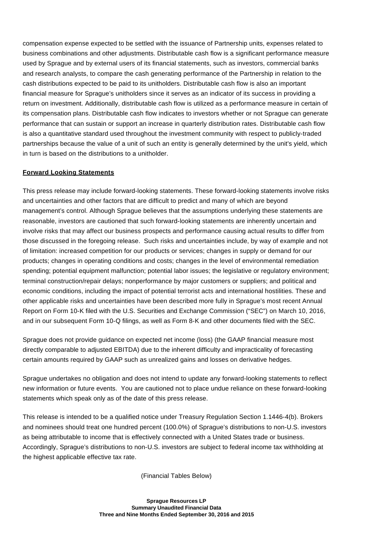compensation expense expected to be settled with the issuance of Partnership units, expenses related to business combinations and other adjustments. Distributable cash flow is a significant performance measure used by Sprague and by external users of its financial statements, such as investors, commercial banks and research analysts, to compare the cash generating performance of the Partnership in relation to the cash distributions expected to be paid to its unitholders. Distributable cash flow is also an important financial measure for Sprague's unitholders since it serves as an indicator of its success in providing a return on investment. Additionally, distributable cash flow is utilized as a performance measure in certain of its compensation plans. Distributable cash flow indicates to investors whether or not Sprague can generate performance that can sustain or support an increase in quarterly distribution rates. Distributable cash flow is also a quantitative standard used throughout the investment community with respect to publicly-traded partnerships because the value of a unit of such an entity is generally determined by the unit's yield, which in turn is based on the distributions to a unitholder.

#### **Forward Looking Statements**

This press release may include forward-looking statements. These forward-looking statements involve risks and uncertainties and other factors that are difficult to predict and many of which are beyond management's control. Although Sprague believes that the assumptions underlying these statements are reasonable, investors are cautioned that such forward-looking statements are inherently uncertain and involve risks that may affect our business prospects and performance causing actual results to differ from those discussed in the foregoing release. Such risks and uncertainties include, by way of example and not of limitation: increased competition for our products or services; changes in supply or demand for our products; changes in operating conditions and costs; changes in the level of environmental remediation spending; potential equipment malfunction; potential labor issues; the legislative or regulatory environment; terminal construction/repair delays; nonperformance by major customers or suppliers; and political and economic conditions, including the impact of potential terrorist acts and international hostilities. These and other applicable risks and uncertainties have been described more fully in Sprague's most recent Annual Report on Form 10-K filed with the U.S. Securities and Exchange Commission ("SEC") on March 10, 2016, and in our subsequent Form 10-Q filings, as well as Form 8-K and other documents filed with the SEC.

Sprague does not provide guidance on expected net income (loss) (the GAAP financial measure most directly comparable to adjusted EBITDA) due to the inherent difficulty and impracticality of forecasting certain amounts required by GAAP such as unrealized gains and losses on derivative hedges.

Sprague undertakes no obligation and does not intend to update any forward-looking statements to reflect new information or future events. You are cautioned not to place undue reliance on these forward-looking statements which speak only as of the date of this press release.

This release is intended to be a qualified notice under Treasury Regulation Section 1.1446-4(b). Brokers and nominees should treat one hundred percent (100.0%) of Sprague's distributions to non-U.S. investors as being attributable to income that is effectively connected with a United States trade or business. Accordingly, Sprague's distributions to non-U.S. investors are subject to federal income tax withholding at the highest applicable effective tax rate.

(Financial Tables Below)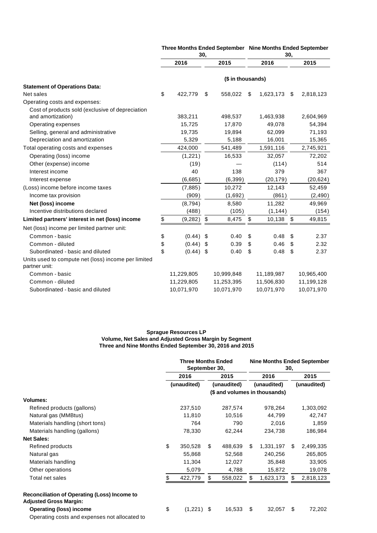|                                                                       |                   | Jυ,        |    |            |    | υv,        |    |            |  |  |  |  |  |
|-----------------------------------------------------------------------|-------------------|------------|----|------------|----|------------|----|------------|--|--|--|--|--|
|                                                                       |                   | 2016       |    | 2015       |    | 2016       |    | 2015       |  |  |  |  |  |
|                                                                       | (\$ in thousands) |            |    |            |    |            |    |            |  |  |  |  |  |
| <b>Statement of Operations Data:</b>                                  |                   |            |    |            |    |            |    |            |  |  |  |  |  |
| Net sales                                                             | \$                | 422,779    | \$ | 558,022    | \$ | 1,623,173  | \$ | 2,818,123  |  |  |  |  |  |
| Operating costs and expenses:                                         |                   |            |    |            |    |            |    |            |  |  |  |  |  |
| Cost of products sold (exclusive of depreciation<br>and amortization) |                   | 383,211    |    | 498,537    |    | 1,463,938  |    | 2,604,969  |  |  |  |  |  |
| Operating expenses                                                    |                   | 15,725     |    | 17,870     |    | 49,078     |    | 54,394     |  |  |  |  |  |
| Selling, general and administrative                                   |                   | 19,735     |    | 19,894     |    | 62,099     |    | 71,193     |  |  |  |  |  |
| Depreciation and amortization                                         |                   | 5,329      |    | 5,188      |    | 16,001     |    | 15,365     |  |  |  |  |  |
| Total operating costs and expenses                                    |                   | 424,000    |    | 541,489    |    | 1,591,116  |    | 2,745,921  |  |  |  |  |  |
| Operating (loss) income                                               |                   | (1,221)    |    | 16,533     |    | 32,057     |    | 72,202     |  |  |  |  |  |
| Other (expense) income                                                |                   | (19)       |    |            |    | (114)      |    | 514        |  |  |  |  |  |
| Interest income                                                       |                   | 40         |    | 138        |    | 379        |    | 367        |  |  |  |  |  |
| Interest expense                                                      |                   | (6,685)    |    | (6, 399)   |    | (20, 179)  |    | (20, 624)  |  |  |  |  |  |
| (Loss) income before income taxes                                     |                   | (7,885)    |    | 10,272     |    | 12,143     |    | 52,459     |  |  |  |  |  |
| Income tax provision                                                  |                   | (909)      |    | (1,692)    |    | (861)      |    | (2, 490)   |  |  |  |  |  |
| Net (loss) income                                                     |                   | (8,794)    |    | 8,580      |    | 11,282     |    | 49,969     |  |  |  |  |  |
| Incentive distributions declared                                      |                   | (488)      |    | (105)      |    | (1, 144)   |    | (154)      |  |  |  |  |  |
| Limited partners' interest in net (loss) income                       | \$                | (9, 282)   | \$ | 8,475      | \$ | 10,138     | \$ | 49,815     |  |  |  |  |  |
| Net (loss) income per limited partner unit:                           |                   |            |    |            |    |            |    |            |  |  |  |  |  |
| Common - basic                                                        | \$                | (0.44)     | \$ | 0.40       | \$ | 0.48       | \$ | 2.37       |  |  |  |  |  |
| Common - diluted                                                      | \$                | (0.44)     | S  | 0.39       | \$ | 0.46       | \$ | 2.32       |  |  |  |  |  |
| Subordinated - basic and diluted                                      | \$                | (0.44)     | \$ | 0.40       | \$ | 0.48       | \$ | 2.37       |  |  |  |  |  |
| Units used to compute net (loss) income per limited<br>partner unit:  |                   |            |    |            |    |            |    |            |  |  |  |  |  |
| Common - basic                                                        |                   | 11,229,805 |    | 10,999,848 |    | 11,189,987 |    | 10,965,400 |  |  |  |  |  |
| Common - diluted                                                      |                   | 11,229,805 |    | 11,253,395 |    | 11,506,830 |    | 11,199,128 |  |  |  |  |  |
| Subordinated - basic and diluted                                      |                   | 10,071,970 |    | 10,071,970 |    | 10,071,970 |    | 10,071,970 |  |  |  |  |  |

#### **Three Months Ended September Nine Months Ended September 30, 30,**

#### **Sprague Resources LP Volume, Net Sales and Adjusted Gross Margin by Segment Three and Nine Months Ended September 30, 2016 and 2015**

|                                                                               | <b>Three Months Ended</b><br>September 30, |             |      |             | <b>Nine Months Ended September</b><br>30, |             |    |             |  |  |  |
|-------------------------------------------------------------------------------|--------------------------------------------|-------------|------|-------------|-------------------------------------------|-------------|----|-------------|--|--|--|
|                                                                               | 2016                                       |             | 2015 |             | 2016                                      |             |    | 2015        |  |  |  |
|                                                                               |                                            | (unaudited) |      | (unaudited) |                                           | (unaudited) |    | (unaudited) |  |  |  |
|                                                                               | (\$ and volumes in thousands)              |             |      |             |                                           |             |    |             |  |  |  |
| <b>Volumes:</b>                                                               |                                            |             |      |             |                                           |             |    |             |  |  |  |
| Refined products (gallons)                                                    |                                            | 237,510     |      | 287,574     |                                           | 978,264     |    | 1,303,092   |  |  |  |
| Natural gas (MMBtus)                                                          |                                            | 11,810      |      | 10,516      |                                           | 44,799      |    | 42,747      |  |  |  |
| Materials handling (short tons)                                               |                                            | 764         |      | 790         |                                           | 2,016       |    | 1,859       |  |  |  |
| Materials handling (gallons)                                                  |                                            | 78,330      |      | 62,244      |                                           | 234,738     |    | 186,984     |  |  |  |
| <b>Net Sales:</b>                                                             |                                            |             |      |             |                                           |             |    |             |  |  |  |
| Refined products                                                              | \$                                         | 350,528     | \$   | 488,639     | \$                                        | 1,331,197   | \$ | 2,499,335   |  |  |  |
| Natural gas                                                                   |                                            | 55,868      |      | 52,568      |                                           | 240,256     |    | 265,805     |  |  |  |
| Materials handling                                                            |                                            | 11,304      |      | 12,027      |                                           | 35,848      |    | 33,905      |  |  |  |
| Other operations                                                              |                                            | 5,079       |      | 4,788       |                                           | 15,872      |    | 19,078      |  |  |  |
| Total net sales                                                               |                                            | 422,779     | \$   | 558,022     | S                                         | 1,623,173   | S  | 2,818,123   |  |  |  |
| Reconciliation of Operating (Loss) Income to<br><b>Adjusted Gross Margin:</b> |                                            |             |      |             |                                           |             |    |             |  |  |  |
| <b>Operating (loss) income</b>                                                | \$                                         | (1,221)     | -\$  | 16,533      | \$                                        | 32,057      | \$ | 72,202      |  |  |  |
| Operating costs and expenses not allocated to                                 |                                            |             |      |             |                                           |             |    |             |  |  |  |